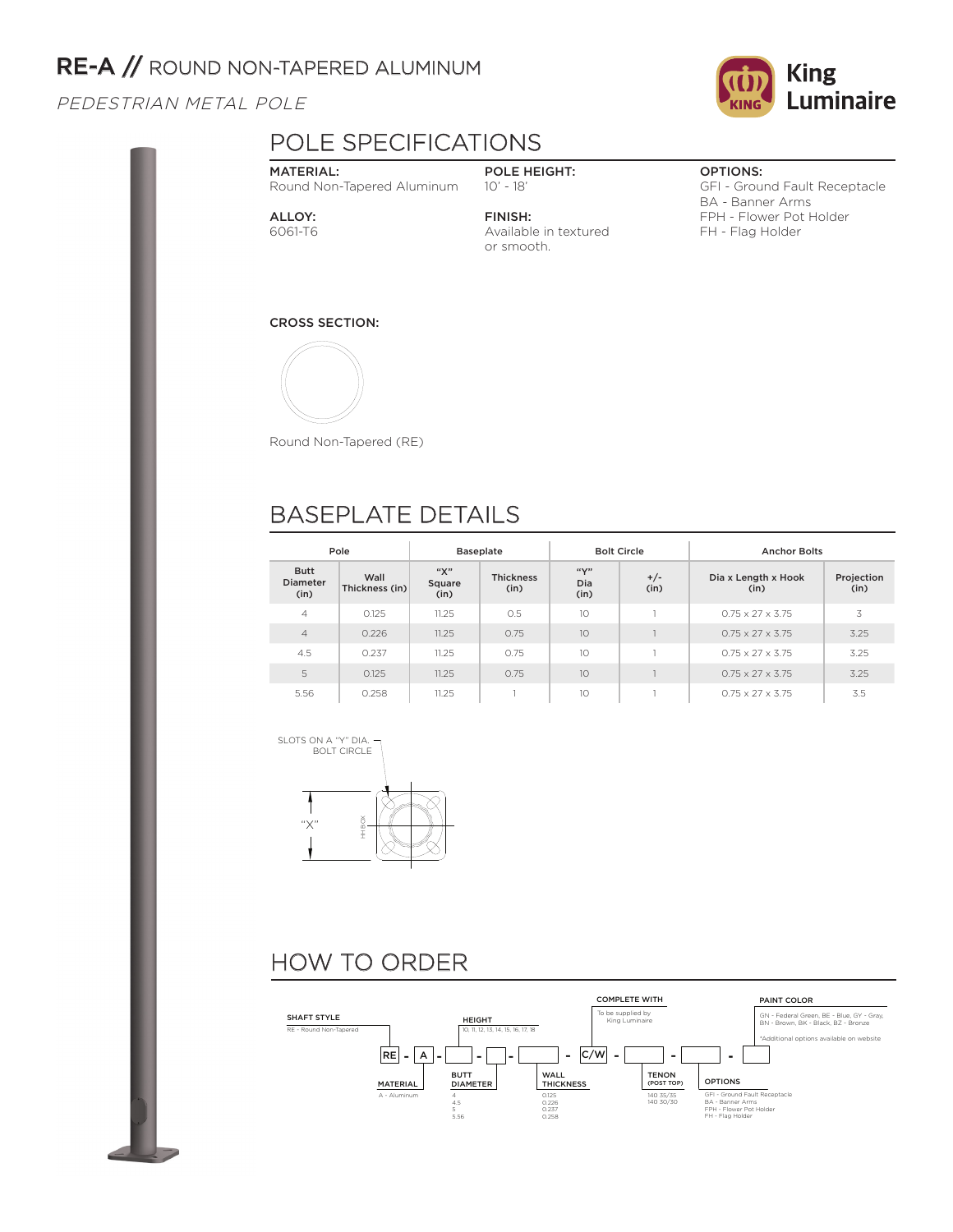## RE-A // ROUND NON-TAPERED ALUMINUM

PEDESTRIAN METAL POLE

# **King** Luminaire

## POLE SPECIFICATIONS

#### MATERIAL: Round Non-Tapered Aluminum

#### POLE HEIGHT: 10' - 18'

ALLOY: 6061-T6 FINISH: Available in textured or smooth.

#### OPTIONS:

GFI - Ground Fault Receptacle BA - Banner Arms FPH - Flower Pot Holder FH - Flag Holder

#### CROSS SECTION:



Round Non-Tapered (RE)

## BASEPLATE DETAILS

| Pole                                   |                        |                       | <b>Baseplate</b>         |                                           | <b>Bolt Circle</b>                           | <b>Anchor Bolts</b>          |                    |  |
|----------------------------------------|------------------------|-----------------------|--------------------------|-------------------------------------------|----------------------------------------------|------------------------------|--------------------|--|
| <b>Butt</b><br><b>Diameter</b><br>(in) | Wall<br>Thickness (in) | "Х"<br>Square<br>(in) | <b>Thickness</b><br>(in) | $\mathfrak{c}(\mathbf{V})$<br>Dia<br>(in) | $+/-$<br>Dia x Length x Hook<br>(in)<br>(in) |                              | Projection<br>(in) |  |
| $\overline{4}$                         | 0.125                  | 11.25                 | 0.5                      | 10                                        |                                              | $0.75 \times 27 \times 3.75$ | 3                  |  |
| $\overline{4}$                         | 0.226                  | 11.25                 | 0.75                     | 10                                        |                                              | $0.75 \times 27 \times 3.75$ | 3.25               |  |
| 4.5                                    | 0.237                  | 11.25                 | 0.75                     | 10                                        |                                              | $0.75 \times 27 \times 3.75$ | 3.25               |  |
| 5                                      | 0.125                  | 11.25                 | 0.75                     | 10                                        |                                              | $0.75 \times 27 \times 3.75$ | 3.25               |  |
| 5.56                                   | 0.258                  | 11.25                 |                          | 10                                        |                                              | $0.75 \times 27 \times 3.75$ | 3.5                |  |



## HOW TO ORDER

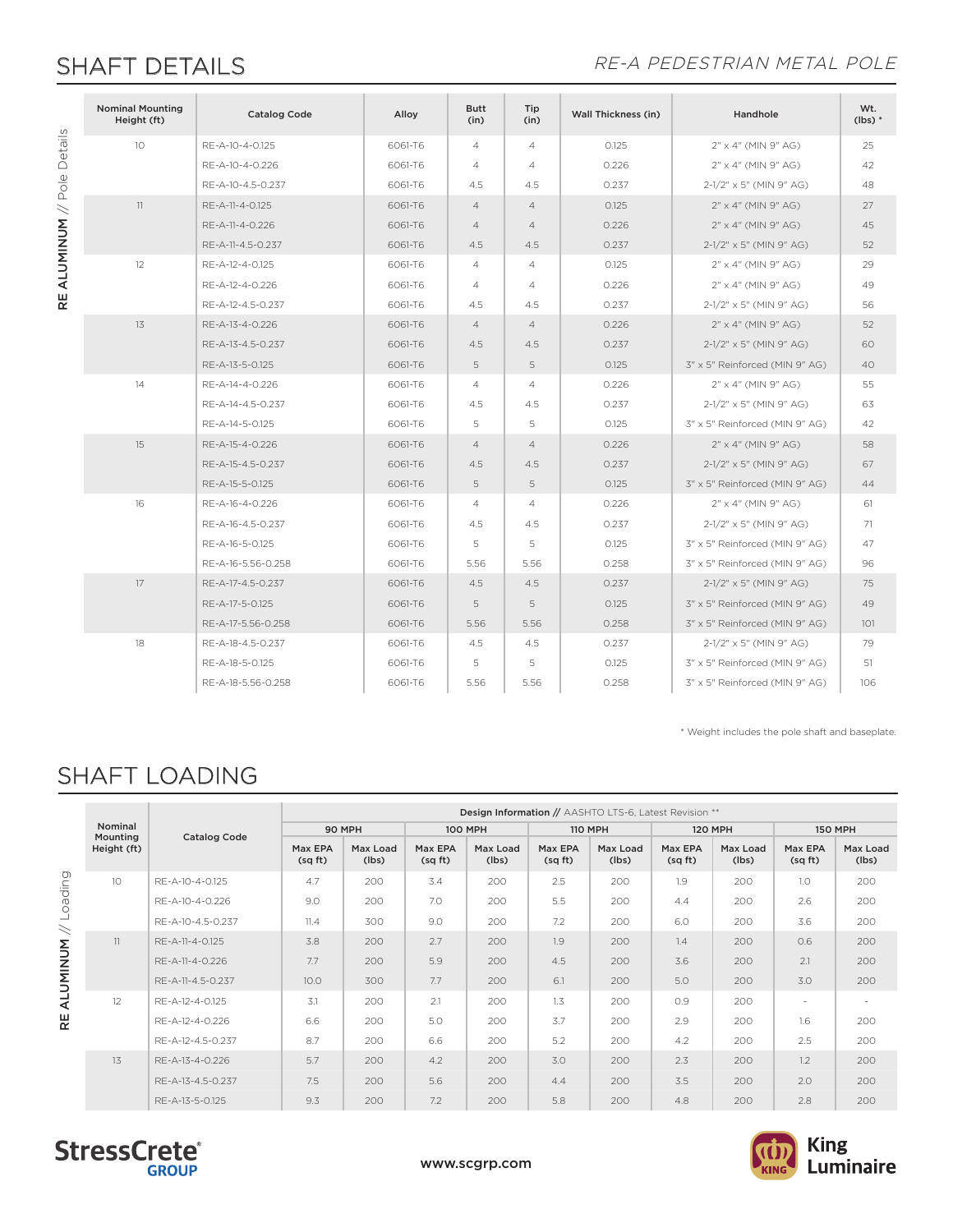RE ALUMINUM // Pole Details

RE ALUMINUM // Pole Details

#### SHAFT DETAILS **SHAFT DETAILS**

| <b>Nominal Mounting</b><br>Height (ft) | <b>Catalog Code</b> | Alloy   | <b>Butt</b><br>(in) | Tip<br>(in)    | <b>Wall Thickness (in)</b> | Handhole                       | Wt.<br>$(lbs)*$ |
|----------------------------------------|---------------------|---------|---------------------|----------------|----------------------------|--------------------------------|-----------------|
| 10                                     | RE-A-10-4-0.125     | 6061-T6 | $\overline{4}$      | $\overline{4}$ | 0.125                      | $2'' \times 4''$ (MIN 9" AG)   | 25              |
|                                        | RE-A-10-4-0.226     | 6061-T6 | $\overline{4}$      | $\overline{4}$ | 0.226                      | $2'' \times 4''$ (MIN 9" AG)   | 42              |
|                                        | RE-A-10-4.5-0.237   | 6061-T6 | 4.5                 | 4.5            | 0.237                      | 2-1/2" x 5" (MIN 9" AG)        | 48              |
| 11                                     | RE-A-11-4-0.125     | 6061-T6 | $\overline{4}$      | $\overline{4}$ | 0.125                      | 2" x 4" (MIN 9" AG)            | 27              |
|                                        | RE-A-11-4-0.226     | 6061-T6 | $\overline{4}$      | $\overline{4}$ | 0.226                      | 2" x 4" (MIN 9" AG)            | 45              |
|                                        | RE-A-11-4.5-0.237   | 6061-T6 | 4.5                 | 4.5            | 0.237                      | $2-1/2$ " x 5" (MIN 9" AG)     | 52              |
| 12                                     | RE-A-12-4-0.125     | 6061-T6 | $\overline{4}$      | $\overline{4}$ | 0.125                      | 2" x 4" (MIN 9" AG)            | 29              |
|                                        | RE-A-12-4-0.226     | 6061-T6 | $\overline{4}$      | $\overline{4}$ | 0.226                      | 2" x 4" (MIN 9" AG)            | 49              |
|                                        | RE-A-12-4.5-0.237   | 6061-T6 | 4.5                 | 4.5            | 0.237                      | 2-1/2" x 5" (MIN 9" AG)        | 56              |
| 13                                     | RE-A-13-4-0.226     | 6061-T6 | $\overline{4}$      | $\overline{4}$ | 0.226                      | 2" x 4" (MIN 9" AG)            | 52              |
|                                        | RE-A-13-4.5-0.237   | 6061-T6 | 4.5                 | 4.5            | 0.237                      | $2-1/2$ " x 5" (MIN 9" AG)     | 60              |
|                                        | RE-A-13-5-0.125     | 6061-T6 | 5                   | $\mathsf S$    | 0.125                      | 3" x 5" Reinforced (MIN 9" AG) | 40              |
| 14                                     | RE-A-14-4-0.226     | 6061-T6 | $\overline{4}$      | $\overline{4}$ | 0.226                      | 2" x 4" (MIN 9" AG)            | 55              |
|                                        | RE-A-14-4.5-0.237   | 6061-T6 | 4.5                 | 4.5            | 0.237                      | 2-1/2" x 5" (MIN 9" AG)        | 63              |
|                                        | RE-A-14-5-0.125     | 6061-T6 | 5                   | 5              | 0.125                      | 3" x 5" Reinforced (MIN 9" AG) | 42              |
| 15                                     | RE-A-15-4-0.226     | 6061-T6 | $\overline{4}$      | $\overline{4}$ | 0.226                      | 2" x 4" (MIN 9" AG)            | 58              |
|                                        | RE-A-15-4.5-0.237   | 6061-T6 | 4.5                 | 4.5            | 0.237                      | $2-1/2$ " x 5" (MIN 9" AG)     | 67              |
|                                        | RE-A-15-5-0.125     | 6061-T6 | 5                   | 5              | 0.125                      | 3" x 5" Reinforced (MIN 9" AG) | 44              |
| 16                                     | RE-A-16-4-0.226     | 6061-T6 | $\overline{4}$      | $\overline{4}$ | 0.226                      | 2" x 4" (MIN 9" AG)            | 61              |
|                                        | RE-A-16-4.5-0.237   | 6061-T6 | 4.5                 | 4.5            | 0.237                      | $2-1/2$ " x 5" (MIN 9" AG)     | 71              |
|                                        | RE-A-16-5-0.125     | 6061-T6 | 5                   | 5              | 0.125                      | 3" x 5" Reinforced (MIN 9" AG) | 47              |
|                                        | RE-A-16-5.56-0.258  | 6061-T6 | 5.56                | 5.56           | 0.258                      | 3" x 5" Reinforced (MIN 9" AG) | 96              |
| 17                                     | RE-A-17-4.5-0.237   | 6061-T6 | 4.5                 | 4.5            | 0.237                      | $2-1/2$ " x 5" (MIN 9" AG)     | 75              |
|                                        | RE-A-17-5-0.125     | 6061-T6 | 5                   | 5              | 0.125                      | 3" x 5" Reinforced (MIN 9" AG) | 49              |
|                                        | RE-A-17-5.56-0.258  | 6061-T6 | 5.56                | 5.56           | 0.258                      | 3" x 5" Reinforced (MIN 9" AG) | 101             |
| 18                                     | RE-A-18-4.5-0.237   | 6061-T6 | 4.5                 | 4.5            | 0.237                      | $2-1/2$ " x 5" (MIN 9" AG)     | 79              |
|                                        | RE-A-18-5-0.125     | 6061-T6 | 5                   | 5              | 0.125                      | 3" x 5" Reinforced (MIN 9" AG) | 51              |
|                                        | RE-A-18-5.56-0.258  | 6061-T6 | 5.56                | 5.56           | 0.258                      | 3" x 5" Reinforced (MIN 9" AG) | 106             |

\* Weight includes the pole shaft and baseplate.

## SHAFT LOADING

|               |                                    |                     | Design Information // AASHTO LTS-6, Latest Revision ** |                   |                   |                   |                   |                   |                    |                   |                   |                   |  |
|---------------|------------------------------------|---------------------|--------------------------------------------------------|-------------------|-------------------|-------------------|-------------------|-------------------|--------------------|-------------------|-------------------|-------------------|--|
|               | Nominal<br>Mounting<br>Height (ft) | <b>Catalog Code</b> | 90 MPH                                                 |                   | <b>100 MPH</b>    |                   | <b>110 MPH</b>    |                   | <b>120 MPH</b>     |                   | <b>150 MPH</b>    |                   |  |
|               |                                    |                     | Max EPA<br>(sqft)                                      | Max Load<br>(lbs) | Max EPA<br>(sqft) | Max Load<br>(lbs) | Max EPA<br>(sqft) | Max Load<br>(lbs) | Max EPA<br>(sq ft) | Max Load<br>(lbs) | Max EPA<br>(sqft) | Max Load<br>(lbs) |  |
| puipeo.       | 10 <sup>2</sup>                    | RE-A-10-4-0.125     | 4.7                                                    | 200               | 3.4               | 200               | 2.5               | 200               | 1.9                | 200               | 1.0               | 200               |  |
|               |                                    | RE-A-10-4-0.226     | 9.0                                                    | 200               | 7.0               | 200               | 5.5               | 200               | 4.4                | 200               | 2.6               | 200               |  |
| $\,<$         |                                    | RE-A-10-4.5-0.237   | 11.4                                                   | 300               | 9.0               | 200               | 7.2               | 200               | 6.0                | 200               | 3.6               | 200               |  |
|               | 11                                 | RE-A-11-4-0.125     | 3.8                                                    | 200               | 2.7               | 200               | 1.9               | 200               | 1.4                | 200               | O.6               | 200               |  |
|               |                                    | RE-A-11-4-0.226     | 7.7                                                    | 200               | 5.9               | 200               | 4.5               | 200               | 3.6                | 200               | 2.1               | 200               |  |
| <b>UMINUM</b> |                                    | RE-A-11-4.5-0.237   | 10.0                                                   | 300               | 7.7               | 200               | 6.1               | 200               | 5.0                | 200               | 3.0               | 200               |  |
| ₹             | 12                                 | RE-A-12-4-0.125     | 3.1                                                    | 200               | 2.1               | 200               | 1.3               | 200               | 0.9                | 200               | $\sim$            |                   |  |
| RË            |                                    | RE-A-12-4-0.226     | 6.6                                                    | 200               | 5.0               | 200               | 3.7               | 200               | 2.9                | 200               | 1.6               | 200               |  |
|               |                                    | RE-A-12-4.5-0.237   | 8.7                                                    | 200               | 6.6               | 200               | 5.2               | 200               | 4.2                | 200               | 2.5               | 200               |  |
|               | 13                                 | RE-A-13-4-0.226     | 5.7                                                    | 200               | 4.2               | 200               | 3.0               | 200               | 2.3                | 200               | 1.2               | 200               |  |
|               |                                    | RE-A-13-4.5-0.237   | 7.5                                                    | 200               | 5.6               | 200               | 4.4               | 200               | 3.5                | 200               | 2.0               | 200               |  |
|               |                                    | RE-A-13-5-0.125     | 9.3                                                    | 200               | 7.2               | 200               | 5.8               | 200               | 4.8                | 200               | 2.8               | 200               |  |